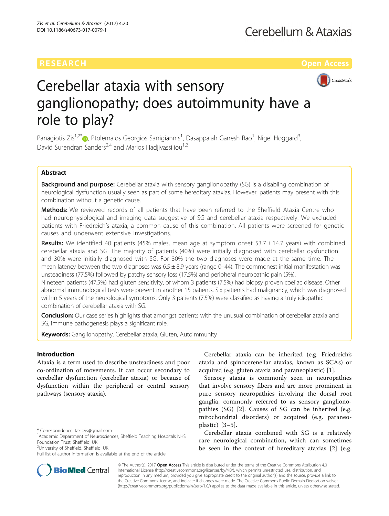

# Cerebellar ataxia with sensory ganglionopathy; does autoimmunity have a role to play?

Panagiotis Zis<sup>1[,](http://orcid.org/0000-0001-8567-3092)2\*</sup>®, Ptolemaios Georgios Sarrigiannis<sup>1</sup>, Dasappaiah Ganesh Rao<sup>1</sup>, Nigel Hoggard<sup>3</sup> , David Surendran Sanders<sup>2,4</sup> and Marios Hadiivassiliou<sup>1,2</sup>

# Abstract

**Background and purpose:** Cerebellar ataxia with sensory ganglionopathy (SG) is a disabling combination of neurological dysfunction usually seen as part of some hereditary ataxias. However, patients may present with this combination without a genetic cause.

Methods: We reviewed records of all patients that have been referred to the Sheffield Ataxia Centre who had neurophysiological and imaging data suggestive of SG and cerebellar ataxia respectively. We excluded patients with Friedreich's ataxia, a common cause of this combination. All patients were screened for genetic causes and underwent extensive investigations.

**Results:** We identified 40 patients (45% males, mean age at symptom onset 53.7  $\pm$  14.7 years) with combined cerebellar ataxia and SG. The majority of patients (40%) were initially diagnosed with cerebellar dysfunction and 30% were initially diagnosed with SG. For 30% the two diagnoses were made at the same time. The mean latency between the two diagnoses was  $6.5 \pm 8.9$  years (range 0–44). The commonest initial manifestation was unsteadiness (77.5%) followed by patchy sensory loss (17.5%) and peripheral neuropathic pain (5%). Nineteen patients (47.5%) had gluten sensitivity, of whom 3 patients (7.5%) had biopsy proven coeliac disease. Other abnormal immunological tests were present in another 15 patients. Six patients had malignancy, which was diagnosed within 5 years of the neurological symptoms. Only 3 patients (7.5%) were classified as having a truly idiopathic combination of cerebellar ataxia with SG.

**Conclusion:** Our case series highlights that amongst patients with the unusual combination of cerebellar ataxia and SG, immune pathogenesis plays a significant role.

Keywords: Ganglionopathy, Cerebellar ataxia, Gluten, Autoimmunity

# Introduction

Ataxia is a term used to describe unsteadiness and poor co-ordination of movements. It can occur secondary to cerebellar dysfunction (cerebellar ataxia) or because of dysfunction within the peripheral or central sensory pathways (sensory ataxia).

<sup>2</sup>University of Sheffield, Sheffield, UK



Sensory ataxia is commonly seen in neuropathies that involve sensory fibers and are more prominent in pure sensory neuropathies involving the dorsal root ganglia, commonly referred to as sensory ganglionopathies (SG) [[2](#page-8-0)]. Causes of SG can be inherited (e.g. mitochondrial disorders) or acquired (e.g. paraneoplastic) [[3](#page-8-0)–[5\]](#page-8-0).

Cerebellar ataxia combined with SG is a relatively rare neurological combination, which can sometimes be seen in the context of hereditary ataxias [\[2](#page-8-0)] (e.g.



© The Author(s). 2017 **Open Access** This article is distributed under the terms of the Creative Commons Attribution 4.0 International License [\(http://creativecommons.org/licenses/by/4.0/](http://creativecommons.org/licenses/by/4.0/)), which permits unrestricted use, distribution, and reproduction in any medium, provided you give appropriate credit to the original author(s) and the source, provide a link to the Creative Commons license, and indicate if changes were made. The Creative Commons Public Domain Dedication waiver [\(http://creativecommons.org/publicdomain/zero/1.0/](http://creativecommons.org/publicdomain/zero/1.0/)) applies to the data made available in this article, unless otherwise stated.

<sup>\*</sup> Correspondence: [takiszis@gmail.com](mailto:takiszis@gmail.com) <sup>1</sup>

<sup>&</sup>lt;sup>1</sup> Academic Department of Neurosciences, Sheffield Teaching Hospitals NHS Foundation Trust, Sheffield, UK

Full list of author information is available at the end of the article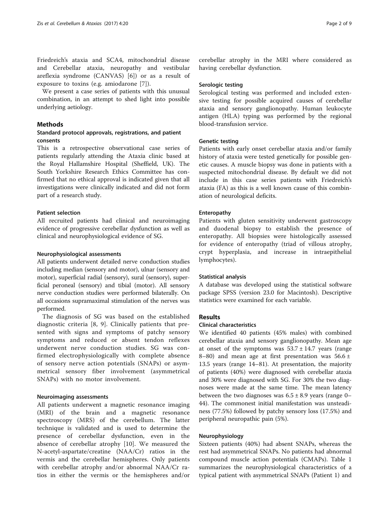Friedreich's ataxia and SCA4, mitochondrial disease and Cerebellar ataxia, neuropathy and vestibular areflexia syndrome (CANVAS) [[6\]](#page-8-0)) or as a result of exposure to toxins (e.g. amiodarone [\[7](#page-8-0)]).

We present a case series of patients with this unusual combination, in an attempt to shed light into possible underlying aetiology.

# Methods

# Standard protocol approvals, registrations, and patient consents

This is a retrospective observational case series of patients regularly attending the Ataxia clinic based at the Royal Hallamshire Hospital (Sheffield, UK). The South Yorkshire Research Ethics Committee has confirmed that no ethical approval is indicated given that all investigations were clinically indicated and did not form part of a research study.

# Patient selection

All recruited patients had clinical and neuroimaging evidence of progressive cerebellar dysfunction as well as clinical and neurophysiological evidence of SG.

# Neurophysiological assessments

All patients underwent detailed nerve conduction studies including median (sensory and motor), ulnar (sensory and motor), superficial radial (sensory), sural (sensory), superficial peroneal (sensory) and tibial (motor). All sensory nerve conduction studies were performed bilaterally. On all occasions supramaximal stimulation of the nerves was performed.

The diagnosis of SG was based on the established diagnostic criteria [\[8, 9](#page-8-0)]. Clinically patients that presented with signs and symptoms of patchy sensory symptoms and reduced or absent tendon reflexes underwent nerve conduction studies. SG was confirmed electrophysiologically with complete absence of sensory nerve action potentials (SNAPs) or asymmetrical sensory fiber involvement (asymmetrical SNAPs) with no motor involvement.

# Neuroimaging assessments

All patients underwent a magnetic resonance imaging (MRI) of the brain and a magnetic resonance spectroscopy (MRS) of the cerebellum. The latter technique is validated and is used to determine the presence of cerebellar dysfunction, even in the absence of cerebellar atrophy [[10\]](#page-8-0). We measured the N-acetyl-aspartate/creatine (NAA/Cr) ratios in the vermis and the cerebellar hemispheres. Only patients with cerebellar atrophy and/or abnormal NAA/Cr ratios in either the vermis or the hemispheres and/or

cerebellar atrophy in the MRI where considered as having cerebellar dysfunction.

# Serologic testing

Serological testing was performed and included extensive testing for possible acquired causes of cerebellar ataxia and sensory ganglionopathy. Human leukocyte antigen (HLA) typing was performed by the regional blood-transfusion service.

# Genetic testing

Patients with early onset cerebellar ataxia and/or family history of ataxia were tested genetically for possible genetic causes. A muscle biopsy was done in patients with a suspected mitochondrial disease. By default we did not include in this case series patients with Friedreich's ataxia (FA) as this is a well known cause of this combination of neurological deficits.

# Enteropathy

Patients with gluten sensitivity underwent gastroscopy and duodenal biopsy to establish the presence of enteropathy. All biopsies were histologically assessed for evidence of enteropathy (triad of villous atrophy, crypt hyperplasia, and increase in intraepithelial lymphocytes).

# Statistical analysis

A database was developed using the statistical software package SPSS (version 23.0 for Macintosh). Descriptive statistics were examined for each variable.

# Results

# Clinical characteristics

We identified 40 patients (45% males) with combined cerebellar ataxia and sensory ganglionopathy. Mean age at onset of the symptoms was  $53.7 \pm 14.7$  years (range 8–80) and mean age at first presentation was  $56.6 \pm$ 13.5 years (range 14–81). At presentation, the majority of patients (40%) were diagnosed with cerebellar ataxia and 30% were diagnosed with SG. For 30% the two diagnoses were made at the same time. The mean latency between the two diagnoses was  $6.5 \pm 8.9$  years (range 0– 44). The commonest initial manifestation was unsteadiness (77.5%) followed by patchy sensory loss (17.5%) and peripheral neuropathic pain (5%).

# Neurophysiology

Sixteen patients (40%) had absent SNAPs, whereas the rest had asymmetrical SNAPs. No patients had abnormal compound muscle action potentials (CMAPs). Table [1](#page-2-0) summarizes the neurophysiological characteristics of a typical patient with asymmetrical SNAPs (Patient 1) and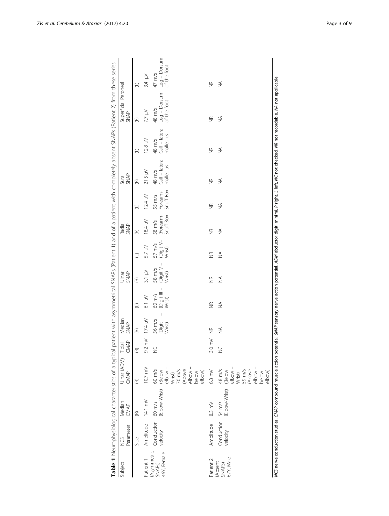<span id="page-2-0"></span>

|                                             | Ulnar (ADM)                                                             |                                                                                                                      |                                  |                                            |                                |                                           |                                  |                                 |                                       |                                       |                                         |                                                                                                                                                                                                             |
|---------------------------------------------|-------------------------------------------------------------------------|----------------------------------------------------------------------------------------------------------------------|----------------------------------|--------------------------------------------|--------------------------------|-------------------------------------------|----------------------------------|---------------------------------|---------------------------------------|---------------------------------------|-----------------------------------------|-------------------------------------------------------------------------------------------------------------------------------------------------------------------------------------------------------------|
|                                             | CMAP                                                                    | CMAP<br>Tibial                                                                                                       | Median<br><b>SNAP</b>            |                                            | <b>SNAP</b><br>Ulnar           |                                           | Radial<br><b>SNAP</b>            |                                 | <b>SNAP</b><br>Sural                  |                                       | Superficial Peroneal<br><b>SNAP</b>     |                                                                                                                                                                                                             |
| $\widehat{\epsilon}$                        |                                                                         | $\widehat{\mathfrak{E}}$                                                                                             | $\mathfrak{E}$                   | $\ominus$                                  | $\mathfrak{E}$                 | $\ominus$                                 | $\mathfrak{E}$                   | $\ominus$                       | $\mathfrak{E}$                        | Э                                     | E                                       | e                                                                                                                                                                                                           |
| Amplitude 14.1 mV                           | $10.7 \text{ mV}$                                                       | $\geq$<br>92                                                                                                         | $17.4 \mu$                       | $6.1 \text{ m}$                            | $3.1 \text{ }\mu\text{V}$      | 5.7 µV                                    | $18.4 \text{ }\mu\text{V}$       | $12.4 \mu$                      | 21.5 µV                               | $12.8 \text{ }\mu\text{V}$            | 7.7 µV                                  | $3.4. \mu V$                                                                                                                                                                                                |
| Conduction 60 m/s<br>velocity (Elbow-Wrist) | $e$ lbow -<br>70 m/s<br>(Above<br>elbow –<br>60 m/s<br>(Below<br>Wrist) | $\gtrapprox$                                                                                                         | 56 m/s<br>(Digit III –<br>Wrist) | $\mid$<br>(Digit III -<br>Wrist)<br>60 m/s | 58 m/s<br>(Digit V –<br>Wrist) | (Digit V-<br>$57 \, \text{m/s}$<br>Wrist) | 58 m/s<br>(Forearm-<br>Snuff Box | Snuff Box<br>Forearm-<br>55 m/s | Calf - lateral<br>malleolus<br>48 m/s | Calf - lateral<br>malleolus<br>48 m/s | $Leg - Dorsum$<br>of the foot<br>48 m/s | $Leg - Dorsum$<br>of the foot<br>47 m/s                                                                                                                                                                     |
|                                             |                                                                         | $\sum_{i=1}^{n}$                                                                                                     | $\widetilde{\Xi}$                | $\frac{\alpha}{2}$                         | $\frac{\alpha}{2}$             | $\frac{\alpha}{2}$                        | $\frac{\alpha}{2}$               | $\frac{\alpha}{2}$              | $\frac{\alpha}{2}$                    | $\frac{\alpha}{2}$                    | $\widetilde{\Xi}$                       | $\widetilde{\Xi}$                                                                                                                                                                                           |
| (Elbow-Wrist)                               |                                                                         |                                                                                                                      | $\lessapprox$                    | $\frac{4}{2}$                              | ₹                              | $\frac{4}{2}$                             | $\frac{4}{2}$                    | $\frac{4}{2}$                   | $\frac{4}{2}$                         | ₹                                     | ₹                                       | ≸                                                                                                                                                                                                           |
|                                             |                                                                         | elbow –<br>elbow -<br>59 m/s<br>(Above<br>6.3 mV<br>48 m/s<br>(Below<br>below<br>elbow)<br>elbow)<br>below<br>Wrist) | ¥<br>SÕ                          |                                            |                                |                                           |                                  |                                 |                                       |                                       |                                         | MCS nerve conduction studies, CMAP compound muscle action potential, SMAP sensory nerve action potential, ADM abductor digiti minimi, R right, L left, MC not checked, MR not recordable, MA not applicable |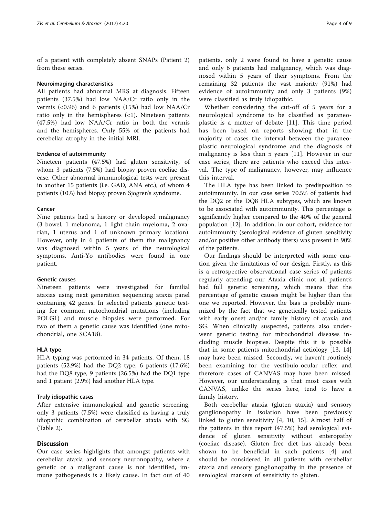of a patient with completely absent SNAPs (Patient 2) from these series.

#### Neuroimaging characteristics

All patients had abnormal MRS at diagnosis. Fifteen patients (37.5%) had low NAA/Cr ratio only in the vermis (<0.96) and 6 patients (15%) had low NAA/Cr ratio only in the hemispheres  $\left(\langle 1 \rangle \right)$ . Nineteen patients (47.5%) had low NAA/Cr ratio in both the vermis and the hemispheres. Only 55% of the patients had cerebellar atrophy in the initial MRI.

#### Evidence of autoimmunity

Nineteen patients (47.5%) had gluten sensitivity, of whom 3 patients (7.5%) had biopsy proven coeliac disease. Other abnormal immunological tests were present in another 15 patients (i.e. GAD, ANA etc.), of whom 4 patients (10%) had biopsy proven Sjogren's syndrome.

### Cancer

Nine patients had a history or developed malignancy (3 bowel, 1 melanoma, 1 light chain myeloma, 2 ovarian, 1 uterus and 1 of unknown primary location). However, only in 6 patients of them the malignancy was diagnosed within 5 years of the neurological symptoms. Anti-Yo antibodies were found in one patient.

#### Genetic causes

Nineteen patients were investigated for familial ataxias using next generation sequencing ataxia panel containing 42 genes. In selected patients genetic testing for common mitochondrial mutations (including POLG1) and muscle biopsies were performed. For two of them a genetic cause was identified (one mitochondrial, one SCA18).

# HLA type

HLA typing was performed in 34 patients. Of them, 18 patients (52.9%) had the DQ2 type, 6 patients (17.6%) had the DQ8 type, 9 patients (26.5%) had the DQ1 type and 1 patient (2.9%) had another HLA type.

### Truly idiopathic cases

After extensive immunological and genetic screening, only 3 patients (7.5%) were classified as having a truly idiopathic combination of cerebellar ataxia with SG (Table [2\)](#page-4-0).

# **Discussion**

Our case series highlights that amongst patients with cerebellar ataxia and sensory neuronopathy, where a genetic or a malignant cause is not identified, immune pathogenesis is a likely cause. In fact out of 40

patients, only 2 were found to have a genetic cause and only 6 patients had malignancy, which was diagnosed within 5 years of their symptoms. From the remaining 32 patients the vast majority (91%) had evidence of autoimmunity and only 3 patients (9%) were classified as truly idiopathic.

Whether considering the cut-off of 5 years for a neurological syndrome to be classified as paraneoplastic is a matter of debate [[11](#page-8-0)]. This time period has been based on reports showing that in the majority of cases the interval between the paraneoplastic neurological syndrome and the diagnosis of malignancy is less than 5 years [\[11](#page-8-0)]. However in our case series, there are patients who exceed this interval. The type of malignancy, however, may influence this interval.

The HLA type has been linked to predisposition to autoimmunity. In our case series 70.5% of patients had the DQ2 or the DQ8 HLA subtypes, which are known to be associated with autoimmunity. This percentage is significantly higher compared to the 40% of the general population [[12](#page-8-0)]. In addition, in our cohort, evidence for autoimmunity (serological evidence of gluten sensitivity and/or positive other antibody titers) was present in 90% of the patients.

Our findings should be interpreted with some caution given the limitations of our design. Firstly, as this is a retrospective observational case series of patients regularly attending our Ataxia clinic not all patient's had full genetic screening, which means that the percentage of genetic causes might be higher than the one we reported. However, the bias is probably minimized by the fact that we genetically tested patients with early onset and/or family history of ataxia and SG. When clinically suspected, patients also underwent genetic testing for mitochondrial diseases including muscle biopsies. Despite this it is possible that in some patients mitochondrial aetiology [[13, 14](#page-8-0)] may have been missed. Secondly, we haven't routinely been examining for the vestibulo-ocular reflex and therefore cases of CANVAS may have been missed. However, our understanding is that most cases with CANVAS, unlike the series here, tend to have a family history.

Both cerebellar ataxia (gluten ataxia) and sensory ganglionopathy in isolation have been previously linked to gluten sensitivity [\[4](#page-8-0), [10](#page-8-0), [15\]](#page-8-0). Almost half of the patients in this report (47.5%) had serological evidence of gluten sensitivity without enteropathy (coeliac disease). Gluten free diet has already been shown to be beneficial in such patients [\[4](#page-8-0)] and should be considered in all patients with cerebellar ataxia and sensory ganglionopathy in the presence of serological markers of sensitivity to gluten.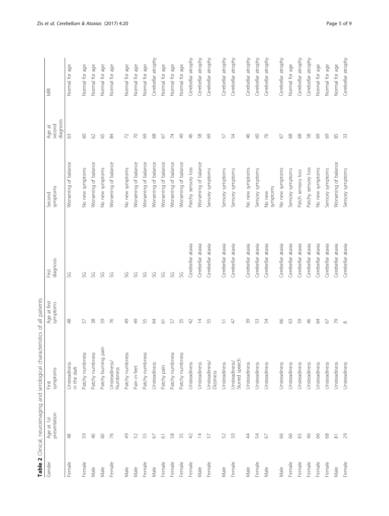<span id="page-4-0"></span>

| Gender | presentation<br>Age at 1st | symptoms<br>First               | Age at first<br>symptoms | diagnosis<br>First | symptoms<br>Second   | diagnosis<br>second<br>Age at | <b>NRI</b>         |
|--------|----------------------------|---------------------------------|--------------------------|--------------------|----------------------|-------------------------------|--------------------|
| Female | Ҿ                          | Unsteadiness<br>in the dark     | Ҿ                        | SG                 | Worsening of balance | $\Im$                         | Normal for age     |
| Female | 59                         | Patchy numbness                 | 57                       | SG                 | No new symptoms      | $\odot$                       | Normal for age     |
| Male   | $\Theta$                   | Patchy numbness                 | 38                       | SG                 | Worsening of balance | $62$                          | Normal for age     |
| Male   | $\odot$                    | Patchy burning pain             | 59                       | SG                 | No new symptoms      | 59                            | Normal for age     |
| Female | $\overline{76}$            | Unsteadiness/<br>Numbness       | 76                       | SG                 | Worsening of balance | æ                             | Normal for age     |
| Male   | $\frac{1}{2}$              | Patchy numbness                 | $\frac{1}{2}$            | SG                 | No new symptoms      | $\mathcal{L}$                 | Normal for age     |
| Male   | 52                         | Pain in feet                    | $\frac{9}{4}$            | SG                 | Worsening of balance | $\approx$                     | Normal for age     |
| Female | 55                         | Patchy numbness                 | 55                       | SG                 | Worsening of balance | 69                            | Normal for age     |
| Male   | $\mathcal{O}$              | Unsteadiness                    | $\sqrt{4}$               | SG                 | Worsening of balance | $68$                          | Cerebellar atrophy |
| Female | $\overline{6}$             | Patchy pain                     | $\overline{\circ}$       | SG                 | Worsening of balance | 67                            | Normal for age     |
| Female | $58\,$                     | Patchy numbness                 | 57                       | SG                 | Worsening of balance | $\lesssim$                    | Normal for age     |
| Female | 35                         | Patchy numbness                 | 35                       | SG                 | Worsening of balance | $\frac{1}{2}$                 | Normal for age     |
| Female | $\varphi$                  | Unsteadiness                    | 42                       | Cerebellar ataxia  | Patchy sensory loss  | $\frac{4}{5}$                 | Cerebellar atrophy |
| Male   | 与                          | Unsteadiness                    | $\overline{4}$           | Cerebellar ataxia  | Worsening of balance | $58$                          | Cerebellar atrophy |
| Female | 57                         | Unsteadiness/<br>Dizziness      | 55                       | Cerebellar ataxia  | Sensory symptoms     | 69                            | Cerebellar atrophy |
| Male   | 52                         | Unsteadiness                    | 51                       | Cerebellar ataxia  | Sensory symptoms     | 57                            | Cerebellar atrophy |
| Female | $\mathbb{S}^{\mathbb{O}}$  | Slurred speech<br>Unsteadiness/ | $47$                     | Cerebellar ataxia  | Sensory symptoms     | 54                            | Cerebellar atrophy |
| Male   | $\ddot{4}$                 | Unsteadiness                    | $\overline{3}9$          | Cerebellar ataxia  | No new symptoms      | Ҿ                             | Cerebellar atrophy |
| Female | 54                         | Unsteadiness                    | 53                       | Cerebellar ataxia  | Sensory symptoms     | $\odot$                       | Cerebellar atrophy |
| Male   | 67                         | Unsteadiness                    | 54                       | Cerebellar ataxia  | symptoms<br>No new   | $\overline{76}$               | Cerebellar atrophy |
| Male   | 8 <sup>o</sup>             | Unsteadiness                    | 99                       | Cerebellar ataxia  | No new symptoms      | 2                             | Cerebellar atrophy |
| Female | $\infty$                   | Unsteadiness                    | $63$                     | Cerebellar ataxia  | Sensory symptoms     | $\mathcal{S}^{\mathcal{S}}$   | Normal for age     |
| Female | 65                         | Unsteadiness                    | 59                       | Cerebellar ataxia  | Patch sensory loss   | $68$                          | Cerebellar atrophy |
| Female | $\frac{4}{6}$              | Unsteadiness                    | $\frac{4}{6}$            | Cerebellar ataxia  | Patchy sensory loss  | $58\,$                        | Cerebellar atrophy |
| Female | $8o$                       | Unsteadiness                    | 64                       | Cerebellar ataxia  | No new symptoms      | $69$                          | Normal for age     |
| Female | $\ensuremath{\mathsf{68}}$ | Unsteadiness                    | $\sqrt{6}$               | Cerebellar ataxia  | Sensory symptoms     | $69$                          | Normal for age     |
| Male   | $\overline{\infty}$        | Unsteadiness                    | 79                       | Cerebellar ataxia  | Worsening of balance | 85                            | Normal for age     |
| Female | 2                          | Unsteadiness                    | $\infty$                 | Cerebellar ataxia  | Sensory symptoms     | 33                            | Cerebellar atrophy |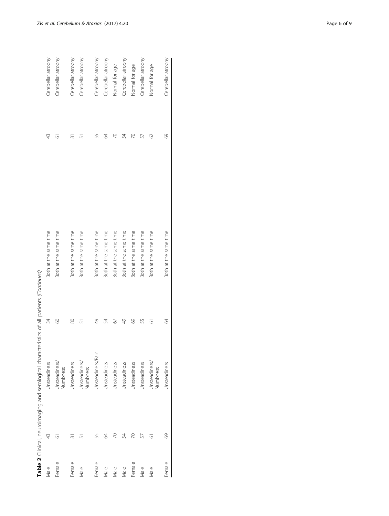|        |     | <b>SHOWS CONTROLS AND CONSIDERED ASSESSMENT OF A SHOW CONSIDERATION CONTROLS CONSIDERED A CHARGE OF A SHOW CONSIDERATION</b> |               |                       |                     |                    |
|--------|-----|------------------------------------------------------------------------------------------------------------------------------|---------------|-----------------------|---------------------|--------------------|
| Male   | 43  | Unsteadiness                                                                                                                 | 34            | Both at the same time | 43                  | Cerebellar atrophy |
| Female | ِّف | Unsteadiness/<br>Numbness                                                                                                    | 8             | Both at the same time | 5                   | Cerebellar atrophy |
| Female | ळ   | Unsteadiness                                                                                                                 | 80            | Both at the same time | $\overline{\infty}$ | Cerebellar atrophy |
| Male   |     | Unsteadiness/<br>Numbness                                                                                                    | 5             | Both at the same time |                     | Cerebellar atrophy |
| Female | 55  | Unsteadiness/Pain                                                                                                            | 49            | Both at the same time | 55                  | Cerebellar atrophy |
| Male   | 2   | Jnsteadiness                                                                                                                 | 54            | Both at the same time | 2                   | Cerebellar atrophy |
| Male   |     | Unsteadiness                                                                                                                 | 67            | Both at the same time | R                   | Normal for age     |
| Male   | 54  | Jnsteadiness                                                                                                                 | $\frac{1}{4}$ | Both at the same time | 54                  | Cerebellar atrophy |
| Female | 20  | Jnsteadiness                                                                                                                 | 69            | Both at the same time | 20                  | Normal for age     |
| Male   |     | Jnsteadiness                                                                                                                 | 55            | Both at the same time | 57                  | Cerebellar atrophy |
| Male   | 6   | Unsteadiness/<br>Numbness                                                                                                    | 61            | Both at the same time | 2                   | Normal for age     |
| Female | S   | Unsteadiness                                                                                                                 | 64            | Both at the same time | 69                  | Cerebellar atrophy |
|        |     |                                                                                                                              |               |                       |                     |                    |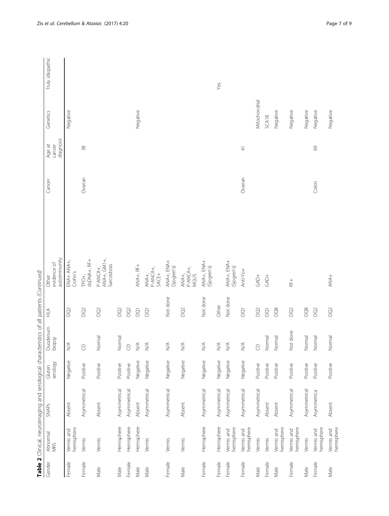|        |                          | Table 2 Clinical, neuroimaging and serological characteristics of all patients (Continued) |                    |                                  |                         |                                        |         |                               |               |                  |
|--------|--------------------------|--------------------------------------------------------------------------------------------|--------------------|----------------------------------|-------------------------|----------------------------------------|---------|-------------------------------|---------------|------------------|
| Gender | Abnormal<br>MRS          | <b>SNAPs</b>                                                                               | serology<br>Gluten | Duodenum<br>biopsy               | A<br>H                  | autoimmunity<br>evidence of<br>Other   | Cancer  | diagnosis<br>Age at<br>cancer | Genetics      | Truly idiopathic |
| Female | hemisphere<br>Vermis and | Absent                                                                                     | Negative           | $\lessgtr$                       | DQ <sub>2</sub>         | Crohn's                                |         |                               | Negative      |                  |
| Female | Vermis                   | Asymmetrical                                                                               | Positive           | $\Theta$                         | DQ <sub>2</sub>         | dsDNA+, RF+<br>TPO+,                   | Ovarian | $38$                          |               |                  |
| Male   | Vermis                   | Absent                                                                                     | Positive           | Normal                           | DQ <sub>2</sub>         | ANA+, GM1+,<br>Sarcoidosis<br>P-ANCA+, |         |                               |               |                  |
| Male   | Hemisphere               | Asymmetrical                                                                               | Positive           | Normal                           | DQ <sub>2</sub>         |                                        |         |                               |               |                  |
| Female | Hemisphere               | Asymmetrical                                                                               | Positive           | $\Theta$                         | DQ <sub>2</sub>         |                                        |         |                               |               |                  |
| Male   | Hemisphere               | Absent                                                                                     | Negative           | $\stackrel{\triangleleft}{\geq}$ | $\overline{Q}$          | ANA+, RF+                              |         |                               | Negative      |                  |
| Male   | Vermis                   | Asymmetrical                                                                               | Negative           | $\lessgtr$                       | $\overline{Q}$          | P-ANCA+,<br>SACE+<br>ANA+,             |         |                               |               |                  |
| Female | Vermis                   | Asymmetrical                                                                               | Negative           | $\lessgtr$                       | Not done                | +KNH +KNK<br>(Sjogren's)               |         |                               |               |                  |
| Male   | Vermis                   | Absent                                                                                     | Negative           | $\lessgtr$                       | DQ <sub>2</sub>         | P-ANCA+,<br>MGUS<br>ANA+,              |         |                               |               |                  |
| Female | Hemisphere               | Asymmetrical                                                                               | Negative           | $\lessgtr$                       | Not done                | ANA+, ENA+<br>(Sjogren's)              |         |                               |               |                  |
| Female | Hemisphere               | Asymmetrical                                                                               | Negative           | $\stackrel{\triangleleft}{\geq}$ | Other                   |                                        |         |                               |               | Yes              |
| Female | hemisphere<br>Vermis and | Asymmetrical                                                                               | Negative           | $\lessgtr$                       | Not done                | + KNH + KNK<br>(Sjogren's)             |         |                               |               |                  |
| Female | hemisphere<br>Vermis and | Asymmetrical                                                                               | Negative           | $\stackrel{\triangleleft}{\geq}$ | $\overline{\textrm{S}}$ | Anti-Yo+                               | Ovarian | $\frac{4}{3}$                 |               |                  |
| Male   | Vermis                   | Asymmetrical                                                                               | Positive           | $\Theta$                         | $\overline{\text{O}}$   | $\vec{G}$                              |         |                               | Mitochondrial |                  |
| Female | Vermis                   | Absent                                                                                     | Positive           | Normal                           | $\overline{Q}$          | $GAD+$                                 |         |                               | SCA18         |                  |
| Male   | hemisphere<br>Vermis and | Absent                                                                                     | Positive           | Normal                           | DQ8                     |                                        |         |                               | Negative      |                  |
| Female | hemisphere<br>Vermis and | Asymmetrical                                                                               | Positive           | Not done                         | $\widetilde{\text{Q}}$  | $RF +$                                 |         |                               | Negative      |                  |
| Male   | Vermis                   | Asymmetrical                                                                               | Positive           | Normal                           | DQ8                     |                                        |         |                               | Negative      |                  |
| Female | hemisphere<br>Vermis and | Asymmetrica                                                                                | Positive           | Normal                           | $\overline{Q}$          |                                        | Colon   | $69$                          | Negative      |                  |
| Male   | hemisphere<br>Vermis and | Absent                                                                                     | Positive           | Normal                           | D <sub>2</sub>          | ANA+                                   |         |                               | Negative      |                  |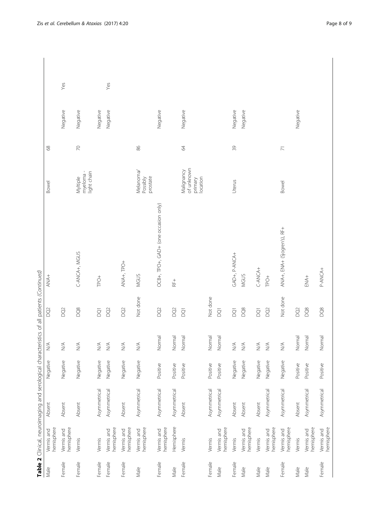| $\geq$<br>86<br>39<br>89<br>64<br>$\overline{z}$<br>of unknown<br>Malignancy<br>Melanoma/<br>myeloma-<br>light chain<br>Myltiple<br>prostate<br>location<br>Possibly<br>primary<br>Uterus<br><b>Bowel</b><br><b>Bowel</b><br>OCB+, TPO+, GAD+ (one occasion only)<br>ANA+, ENA+ (S) ogren's), RF+<br>C-ANCA+, MGUS<br>+KUNK-A '+AVS<br>ANA+, TPO+<br>C-ANCA+<br>P-ANCA+<br>MGUS<br>MGUS<br>$\overline{AA}$<br>ENA+<br>TPO <sup>+</sup><br>TPO <sup>+</sup><br>$R_{+}^{+}$<br>Not done<br>Not done<br>Not done<br>DQ8<br>DQ <sub>2</sub><br>DQ <sub>2</sub><br>DQ8<br>DQ8<br>DQ8<br>DQ <sub>2</sub><br>DQ <sub>2</sub><br>$\overline{O}$<br>$\widetilde{\text{Q}}$<br>$\bar{\textrm{S}}$<br>$\overline{Q}$<br>DQ <sub>2</sub><br>D <sub>2</sub><br>$\overline{Q}$<br>$\overline{\textrm{S}}$<br>$\overline{Q}$<br>Normal<br>Normal<br>Normal<br>Normal<br>Normal<br>Normal<br>Normal<br>Normal<br>$\leq$<br>$\lessgtr$<br>$\frac{1}{2}$<br>$\lessgtr$<br>$\lessgtr$<br>$\stackrel{\triangle}{\geq}$<br>$\frac{1}{2}$<br>$\lessgtr$<br>$\frac{1}{2}$<br>$\lessgtr$<br>$\lessgtr$<br>$\frac{1}{2}$<br>Negative<br>Negative<br>Negative<br>Negative<br>Negative<br>Negative<br>Negative<br>Negative<br>Negative<br>Negative<br>Negative<br>Negative<br>Positive<br>Positive<br>Positive<br>Positive<br>Positive<br>Positive<br>Positive<br>Positive<br>Asymmetrical<br>Asymmetrical<br>Asymmetrical<br>Asymmetrical<br>Asymmetrical<br>Asymmetrical<br>Asymmetrical<br>Asymmetrical<br>Asymmetrical<br>Asymmetrical<br>Asymmetrical<br>Absent<br>Absent<br>Absent<br>Absent<br>Absent<br>Absent<br>Absent<br>Absent<br>Absent<br>Hemisphere<br>hemisphere<br>hemisphere<br>hemisphere<br>hemisphere<br>hemisphere<br>hemisphere<br>hemisphere<br>hemisphere<br>hemisphere<br>hemisphere<br>hemisphere<br>hemisphere<br>Vermis and<br>Vermis and<br>Vermis and<br>Vermis and<br>Vermis and<br>Vermis and<br>Vermis and<br>Vermis and<br>Vermis and<br>Vermis and<br>Vermis and<br>Vermis and<br>Vermis<br>Vermis<br>Vermis<br>Vermis<br>Vermis<br>Vermis<br>Vermis<br>Female<br>Female<br>Female<br>Female<br>Female<br>Female<br>Female<br>Female<br>Female<br>Female<br>Female<br>Male<br>Male<br>Male<br>Male<br>Male<br>Male<br>Male<br>Male<br>Male |  | Table 2 Clinical, neuroimaging and serological characteristics of all patients (Continued) |  |  |  |          |     |
|-----------------------------------------------------------------------------------------------------------------------------------------------------------------------------------------------------------------------------------------------------------------------------------------------------------------------------------------------------------------------------------------------------------------------------------------------------------------------------------------------------------------------------------------------------------------------------------------------------------------------------------------------------------------------------------------------------------------------------------------------------------------------------------------------------------------------------------------------------------------------------------------------------------------------------------------------------------------------------------------------------------------------------------------------------------------------------------------------------------------------------------------------------------------------------------------------------------------------------------------------------------------------------------------------------------------------------------------------------------------------------------------------------------------------------------------------------------------------------------------------------------------------------------------------------------------------------------------------------------------------------------------------------------------------------------------------------------------------------------------------------------------------------------------------------------------------------------------------------------------------------------------------------------------------------------------------------------------------------------------------------------------------------------------------------------------------------------------------------------------------------------------------------------------------------------------------------------------------------------------------------|--|--------------------------------------------------------------------------------------------|--|--|--|----------|-----|
|                                                                                                                                                                                                                                                                                                                                                                                                                                                                                                                                                                                                                                                                                                                                                                                                                                                                                                                                                                                                                                                                                                                                                                                                                                                                                                                                                                                                                                                                                                                                                                                                                                                                                                                                                                                                                                                                                                                                                                                                                                                                                                                                                                                                                                                     |  |                                                                                            |  |  |  |          |     |
|                                                                                                                                                                                                                                                                                                                                                                                                                                                                                                                                                                                                                                                                                                                                                                                                                                                                                                                                                                                                                                                                                                                                                                                                                                                                                                                                                                                                                                                                                                                                                                                                                                                                                                                                                                                                                                                                                                                                                                                                                                                                                                                                                                                                                                                     |  |                                                                                            |  |  |  | Negative | Yes |
|                                                                                                                                                                                                                                                                                                                                                                                                                                                                                                                                                                                                                                                                                                                                                                                                                                                                                                                                                                                                                                                                                                                                                                                                                                                                                                                                                                                                                                                                                                                                                                                                                                                                                                                                                                                                                                                                                                                                                                                                                                                                                                                                                                                                                                                     |  |                                                                                            |  |  |  | Negative |     |
|                                                                                                                                                                                                                                                                                                                                                                                                                                                                                                                                                                                                                                                                                                                                                                                                                                                                                                                                                                                                                                                                                                                                                                                                                                                                                                                                                                                                                                                                                                                                                                                                                                                                                                                                                                                                                                                                                                                                                                                                                                                                                                                                                                                                                                                     |  |                                                                                            |  |  |  | Negative |     |
|                                                                                                                                                                                                                                                                                                                                                                                                                                                                                                                                                                                                                                                                                                                                                                                                                                                                                                                                                                                                                                                                                                                                                                                                                                                                                                                                                                                                                                                                                                                                                                                                                                                                                                                                                                                                                                                                                                                                                                                                                                                                                                                                                                                                                                                     |  |                                                                                            |  |  |  | Negative | Yes |
|                                                                                                                                                                                                                                                                                                                                                                                                                                                                                                                                                                                                                                                                                                                                                                                                                                                                                                                                                                                                                                                                                                                                                                                                                                                                                                                                                                                                                                                                                                                                                                                                                                                                                                                                                                                                                                                                                                                                                                                                                                                                                                                                                                                                                                                     |  |                                                                                            |  |  |  |          |     |
|                                                                                                                                                                                                                                                                                                                                                                                                                                                                                                                                                                                                                                                                                                                                                                                                                                                                                                                                                                                                                                                                                                                                                                                                                                                                                                                                                                                                                                                                                                                                                                                                                                                                                                                                                                                                                                                                                                                                                                                                                                                                                                                                                                                                                                                     |  |                                                                                            |  |  |  |          |     |
|                                                                                                                                                                                                                                                                                                                                                                                                                                                                                                                                                                                                                                                                                                                                                                                                                                                                                                                                                                                                                                                                                                                                                                                                                                                                                                                                                                                                                                                                                                                                                                                                                                                                                                                                                                                                                                                                                                                                                                                                                                                                                                                                                                                                                                                     |  |                                                                                            |  |  |  | Negative |     |
|                                                                                                                                                                                                                                                                                                                                                                                                                                                                                                                                                                                                                                                                                                                                                                                                                                                                                                                                                                                                                                                                                                                                                                                                                                                                                                                                                                                                                                                                                                                                                                                                                                                                                                                                                                                                                                                                                                                                                                                                                                                                                                                                                                                                                                                     |  |                                                                                            |  |  |  |          |     |
|                                                                                                                                                                                                                                                                                                                                                                                                                                                                                                                                                                                                                                                                                                                                                                                                                                                                                                                                                                                                                                                                                                                                                                                                                                                                                                                                                                                                                                                                                                                                                                                                                                                                                                                                                                                                                                                                                                                                                                                                                                                                                                                                                                                                                                                     |  |                                                                                            |  |  |  | Negative |     |
|                                                                                                                                                                                                                                                                                                                                                                                                                                                                                                                                                                                                                                                                                                                                                                                                                                                                                                                                                                                                                                                                                                                                                                                                                                                                                                                                                                                                                                                                                                                                                                                                                                                                                                                                                                                                                                                                                                                                                                                                                                                                                                                                                                                                                                                     |  |                                                                                            |  |  |  |          |     |
|                                                                                                                                                                                                                                                                                                                                                                                                                                                                                                                                                                                                                                                                                                                                                                                                                                                                                                                                                                                                                                                                                                                                                                                                                                                                                                                                                                                                                                                                                                                                                                                                                                                                                                                                                                                                                                                                                                                                                                                                                                                                                                                                                                                                                                                     |  |                                                                                            |  |  |  |          |     |
|                                                                                                                                                                                                                                                                                                                                                                                                                                                                                                                                                                                                                                                                                                                                                                                                                                                                                                                                                                                                                                                                                                                                                                                                                                                                                                                                                                                                                                                                                                                                                                                                                                                                                                                                                                                                                                                                                                                                                                                                                                                                                                                                                                                                                                                     |  |                                                                                            |  |  |  | Negative |     |
|                                                                                                                                                                                                                                                                                                                                                                                                                                                                                                                                                                                                                                                                                                                                                                                                                                                                                                                                                                                                                                                                                                                                                                                                                                                                                                                                                                                                                                                                                                                                                                                                                                                                                                                                                                                                                                                                                                                                                                                                                                                                                                                                                                                                                                                     |  |                                                                                            |  |  |  | Negative |     |
|                                                                                                                                                                                                                                                                                                                                                                                                                                                                                                                                                                                                                                                                                                                                                                                                                                                                                                                                                                                                                                                                                                                                                                                                                                                                                                                                                                                                                                                                                                                                                                                                                                                                                                                                                                                                                                                                                                                                                                                                                                                                                                                                                                                                                                                     |  |                                                                                            |  |  |  |          |     |
|                                                                                                                                                                                                                                                                                                                                                                                                                                                                                                                                                                                                                                                                                                                                                                                                                                                                                                                                                                                                                                                                                                                                                                                                                                                                                                                                                                                                                                                                                                                                                                                                                                                                                                                                                                                                                                                                                                                                                                                                                                                                                                                                                                                                                                                     |  |                                                                                            |  |  |  |          |     |
|                                                                                                                                                                                                                                                                                                                                                                                                                                                                                                                                                                                                                                                                                                                                                                                                                                                                                                                                                                                                                                                                                                                                                                                                                                                                                                                                                                                                                                                                                                                                                                                                                                                                                                                                                                                                                                                                                                                                                                                                                                                                                                                                                                                                                                                     |  |                                                                                            |  |  |  |          |     |
|                                                                                                                                                                                                                                                                                                                                                                                                                                                                                                                                                                                                                                                                                                                                                                                                                                                                                                                                                                                                                                                                                                                                                                                                                                                                                                                                                                                                                                                                                                                                                                                                                                                                                                                                                                                                                                                                                                                                                                                                                                                                                                                                                                                                                                                     |  |                                                                                            |  |  |  | Negative |     |
|                                                                                                                                                                                                                                                                                                                                                                                                                                                                                                                                                                                                                                                                                                                                                                                                                                                                                                                                                                                                                                                                                                                                                                                                                                                                                                                                                                                                                                                                                                                                                                                                                                                                                                                                                                                                                                                                                                                                                                                                                                                                                                                                                                                                                                                     |  |                                                                                            |  |  |  |          |     |
|                                                                                                                                                                                                                                                                                                                                                                                                                                                                                                                                                                                                                                                                                                                                                                                                                                                                                                                                                                                                                                                                                                                                                                                                                                                                                                                                                                                                                                                                                                                                                                                                                                                                                                                                                                                                                                                                                                                                                                                                                                                                                                                                                                                                                                                     |  |                                                                                            |  |  |  |          |     |